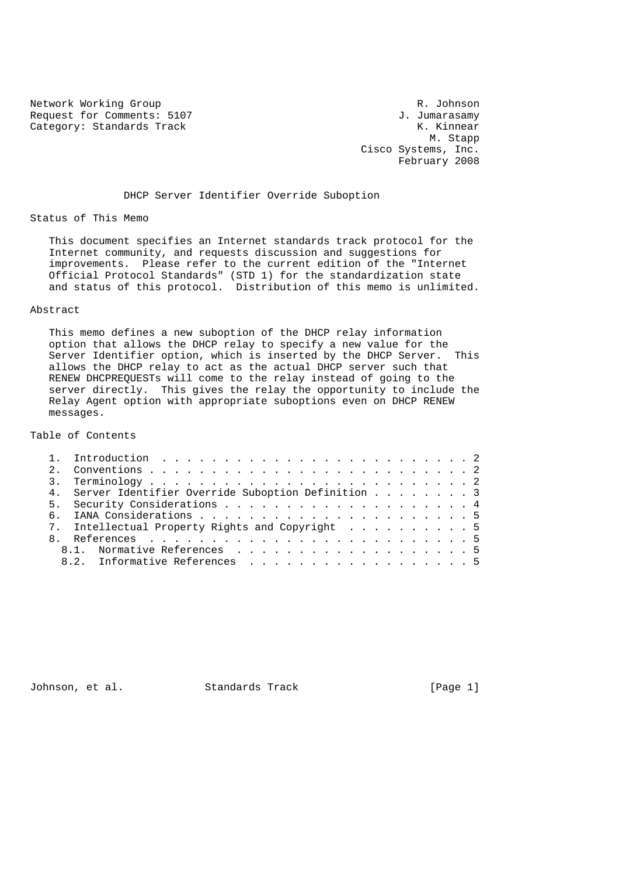Network Working Group R. Johnson Request for Comments: 5107 and the U.S. of Comments: 5107 and J. Jumarasamy<br>Category: Standards Track and M. K. Kinnear Category: Standards Track

 M. Stapp Cisco Systems, Inc. February 2008

### DHCP Server Identifier Override Suboption

### Status of This Memo

 This document specifies an Internet standards track protocol for the Internet community, and requests discussion and suggestions for improvements. Please refer to the current edition of the "Internet Official Protocol Standards" (STD 1) for the standardization state and status of this protocol. Distribution of this memo is unlimited.

### Abstract

 This memo defines a new suboption of the DHCP relay information option that allows the DHCP relay to specify a new value for the Server Identifier option, which is inserted by the DHCP Server. This allows the DHCP relay to act as the actual DHCP server such that RENEW DHCPREQUESTs will come to the relay instead of going to the server directly. This gives the relay the opportunity to include the Relay Agent option with appropriate suboptions even on DHCP RENEW messages.

# Table of Contents

| 4. Server Identifier Override Suboption Definition 3 |
|------------------------------------------------------|
|                                                      |
|                                                      |
| 7. Intellectual Property Rights and Copyright 5      |
|                                                      |
| 8.1. Normative References 5                          |
| 8.2. Informative References 5                        |
|                                                      |

Johnson, et al. Standards Track [Page 1]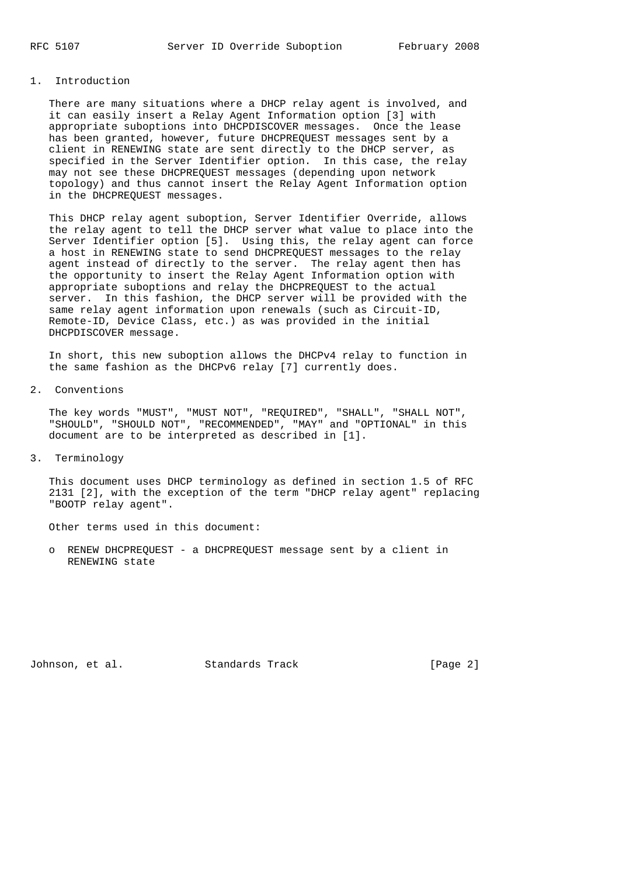# 1. Introduction

 There are many situations where a DHCP relay agent is involved, and it can easily insert a Relay Agent Information option [3] with appropriate suboptions into DHCPDISCOVER messages. Once the lease has been granted, however, future DHCPREQUEST messages sent by a client in RENEWING state are sent directly to the DHCP server, as specified in the Server Identifier option. In this case, the relay may not see these DHCPREQUEST messages (depending upon network topology) and thus cannot insert the Relay Agent Information option in the DHCPREQUEST messages.

 This DHCP relay agent suboption, Server Identifier Override, allows the relay agent to tell the DHCP server what value to place into the Server Identifier option [5]. Using this, the relay agent can force a host in RENEWING state to send DHCPREQUEST messages to the relay agent instead of directly to the server. The relay agent then has the opportunity to insert the Relay Agent Information option with appropriate suboptions and relay the DHCPREQUEST to the actual server. In this fashion, the DHCP server will be provided with the same relay agent information upon renewals (such as Circuit-ID, Remote-ID, Device Class, etc.) as was provided in the initial DHCPDISCOVER message.

 In short, this new suboption allows the DHCPv4 relay to function in the same fashion as the DHCPv6 relay [7] currently does.

2. Conventions

 The key words "MUST", "MUST NOT", "REQUIRED", "SHALL", "SHALL NOT", "SHOULD", "SHOULD NOT", "RECOMMENDED", "MAY" and "OPTIONAL" in this document are to be interpreted as described in [1].

3. Terminology

 This document uses DHCP terminology as defined in section 1.5 of RFC 2131 [2], with the exception of the term "DHCP relay agent" replacing "BOOTP relay agent".

Other terms used in this document:

 o RENEW DHCPREQUEST - a DHCPREQUEST message sent by a client in RENEWING state

Johnson, et al. Standards Track [Page 2]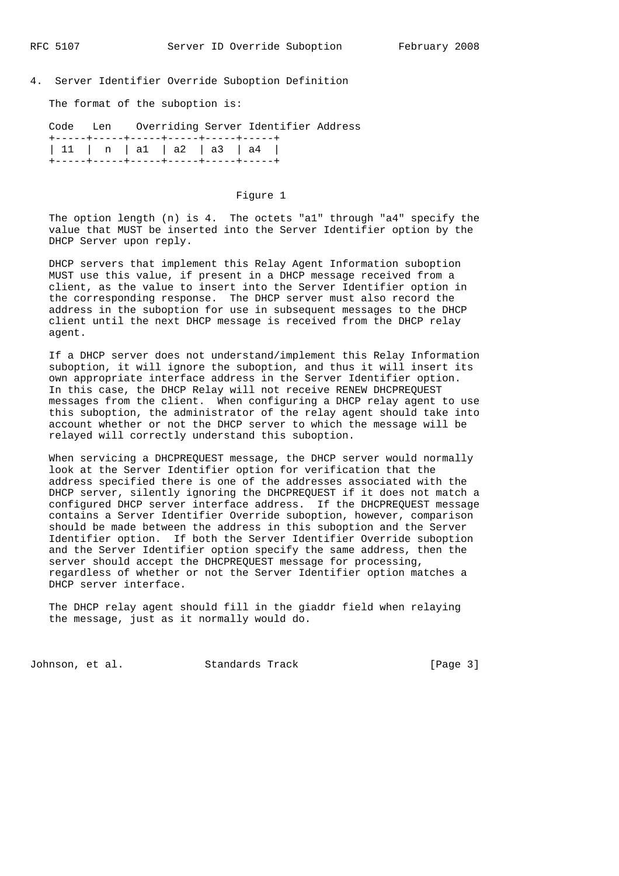## 4. Server Identifier Override Suboption Definition

The format of the suboption is:

|                                      |  |                                        | Code Len Overriding Server Identifier Address |  |
|--------------------------------------|--|----------------------------------------|-----------------------------------------------|--|
|                                      |  | +-----+-----+-----+------+-----+------ |                                               |  |
| $ 11 \t n \t a1 \t a2 \t a3 \t a4  $ |  |                                        |                                               |  |
|                                      |  | +-----+----+-----+-----+-----+------   |                                               |  |

### Figure 1

 The option length (n) is 4. The octets "a1" through "a4" specify the value that MUST be inserted into the Server Identifier option by the DHCP Server upon reply.

 DHCP servers that implement this Relay Agent Information suboption MUST use this value, if present in a DHCP message received from a client, as the value to insert into the Server Identifier option in the corresponding response. The DHCP server must also record the address in the suboption for use in subsequent messages to the DHCP client until the next DHCP message is received from the DHCP relay agent.

 If a DHCP server does not understand/implement this Relay Information suboption, it will ignore the suboption, and thus it will insert its own appropriate interface address in the Server Identifier option. In this case, the DHCP Relay will not receive RENEW DHCPREQUEST messages from the client. When configuring a DHCP relay agent to use this suboption, the administrator of the relay agent should take into account whether or not the DHCP server to which the message will be relayed will correctly understand this suboption.

 When servicing a DHCPREQUEST message, the DHCP server would normally look at the Server Identifier option for verification that the address specified there is one of the addresses associated with the DHCP server, silently ignoring the DHCPREQUEST if it does not match a configured DHCP server interface address. If the DHCPREQUEST message contains a Server Identifier Override suboption, however, comparison should be made between the address in this suboption and the Server Identifier option. If both the Server Identifier Override suboption and the Server Identifier option specify the same address, then the server should accept the DHCPREQUEST message for processing, regardless of whether or not the Server Identifier option matches a DHCP server interface.

 The DHCP relay agent should fill in the giaddr field when relaying the message, just as it normally would do.

Johnson, et al. Standards Track [Page 3]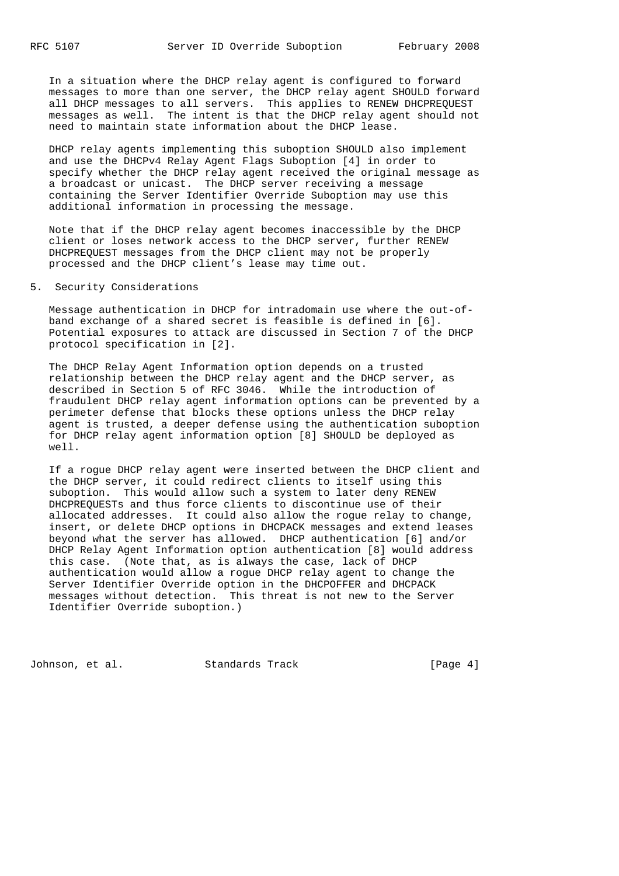In a situation where the DHCP relay agent is configured to forward messages to more than one server, the DHCP relay agent SHOULD forward all DHCP messages to all servers. This applies to RENEW DHCPREQUEST messages as well. The intent is that the DHCP relay agent should not need to maintain state information about the DHCP lease.

 DHCP relay agents implementing this suboption SHOULD also implement and use the DHCPv4 Relay Agent Flags Suboption [4] in order to specify whether the DHCP relay agent received the original message as a broadcast or unicast. The DHCP server receiving a message containing the Server Identifier Override Suboption may use this additional information in processing the message.

 Note that if the DHCP relay agent becomes inaccessible by the DHCP client or loses network access to the DHCP server, further RENEW DHCPREQUEST messages from the DHCP client may not be properly processed and the DHCP client's lease may time out.

5. Security Considerations

 Message authentication in DHCP for intradomain use where the out-of band exchange of a shared secret is feasible is defined in [6]. Potential exposures to attack are discussed in Section 7 of the DHCP protocol specification in [2].

 The DHCP Relay Agent Information option depends on a trusted relationship between the DHCP relay agent and the DHCP server, as described in Section 5 of RFC 3046. While the introduction of fraudulent DHCP relay agent information options can be prevented by a perimeter defense that blocks these options unless the DHCP relay agent is trusted, a deeper defense using the authentication suboption for DHCP relay agent information option [8] SHOULD be deployed as well.

 If a rogue DHCP relay agent were inserted between the DHCP client and the DHCP server, it could redirect clients to itself using this suboption. This would allow such a system to later deny RENEW DHCPREQUESTs and thus force clients to discontinue use of their allocated addresses. It could also allow the rogue relay to change, insert, or delete DHCP options in DHCPACK messages and extend leases beyond what the server has allowed. DHCP authentication [6] and/or DHCP Relay Agent Information option authentication [8] would address this case. (Note that, as is always the case, lack of DHCP authentication would allow a rogue DHCP relay agent to change the Server Identifier Override option in the DHCPOFFER and DHCPACK messages without detection. This threat is not new to the Server Identifier Override suboption.)

Johnson, et al. Standards Track [Page 4]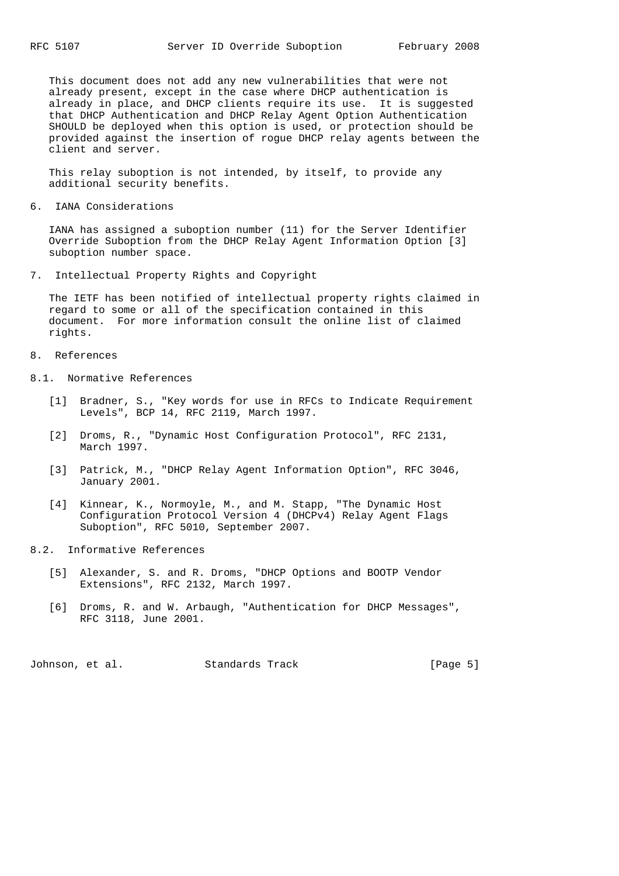This document does not add any new vulnerabilities that were not already present, except in the case where DHCP authentication is already in place, and DHCP clients require its use. It is suggested that DHCP Authentication and DHCP Relay Agent Option Authentication SHOULD be deployed when this option is used, or protection should be provided against the insertion of rogue DHCP relay agents between the client and server.

 This relay suboption is not intended, by itself, to provide any additional security benefits.

6. IANA Considerations

 IANA has assigned a suboption number (11) for the Server Identifier Override Suboption from the DHCP Relay Agent Information Option [3] suboption number space.

7. Intellectual Property Rights and Copyright

 The IETF has been notified of intellectual property rights claimed in regard to some or all of the specification contained in this document. For more information consult the online list of claimed rights.

- 8. References
- 8.1. Normative References
	- [1] Bradner, S., "Key words for use in RFCs to Indicate Requirement Levels", BCP 14, RFC 2119, March 1997.
	- [2] Droms, R., "Dynamic Host Configuration Protocol", RFC 2131, March 1997.
	- [3] Patrick, M., "DHCP Relay Agent Information Option", RFC 3046, January 2001.
	- [4] Kinnear, K., Normoyle, M., and M. Stapp, "The Dynamic Host Configuration Protocol Version 4 (DHCPv4) Relay Agent Flags Suboption", RFC 5010, September 2007.
- 8.2. Informative References
	- [5] Alexander, S. and R. Droms, "DHCP Options and BOOTP Vendor Extensions", RFC 2132, March 1997.
	- [6] Droms, R. and W. Arbaugh, "Authentication for DHCP Messages", RFC 3118, June 2001.

Johnson, et al. Standards Track [Page 5]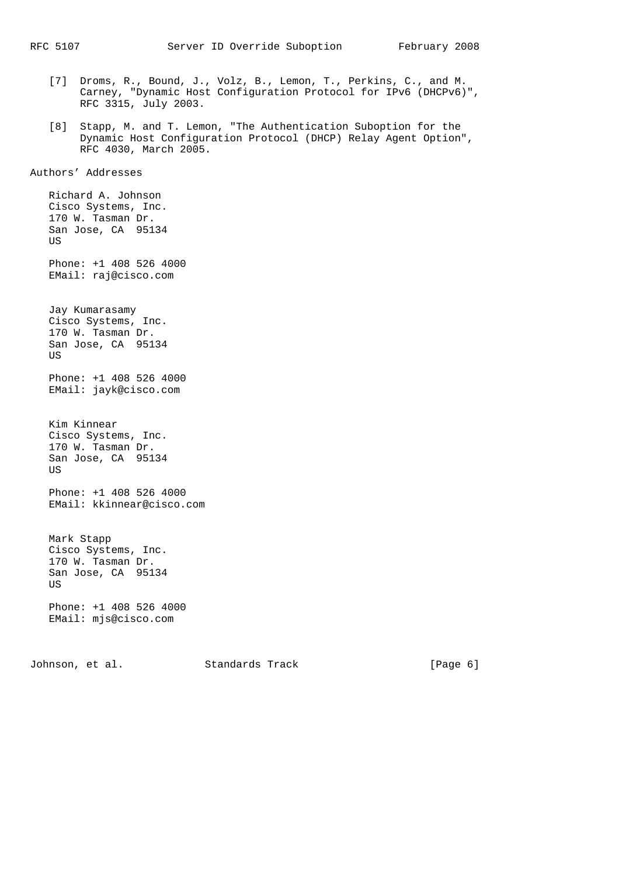- [7] Droms, R., Bound, J., Volz, B., Lemon, T., Perkins, C., and M. Carney, "Dynamic Host Configuration Protocol for IPv6 (DHCPv6)", RFC 3315, July 2003.
- [8] Stapp, M. and T. Lemon, "The Authentication Suboption for the Dynamic Host Configuration Protocol (DHCP) Relay Agent Option", RFC 4030, March 2005.

Authors' Addresses

 Richard A. Johnson Cisco Systems, Inc. 170 W. Tasman Dr. San Jose, CA 95134 US Phone: +1 408 526 4000 EMail: raj@cisco.com Jay Kumarasamy Cisco Systems, Inc. 170 W. Tasman Dr. San Jose, CA 95134 **TTS**  Phone: +1 408 526 4000 EMail: jayk@cisco.com Kim Kinnear Cisco Systems, Inc. 170 W. Tasman Dr. San Jose, CA 95134 US Phone: +1 408 526 4000 EMail: kkinnear@cisco.com Mark Stapp Cisco Systems, Inc. 170 W. Tasman Dr. San Jose, CA 95134 US Phone: +1 408 526 4000 EMail: mjs@cisco.com

Johnson, et al. Standards Track [Page 6]